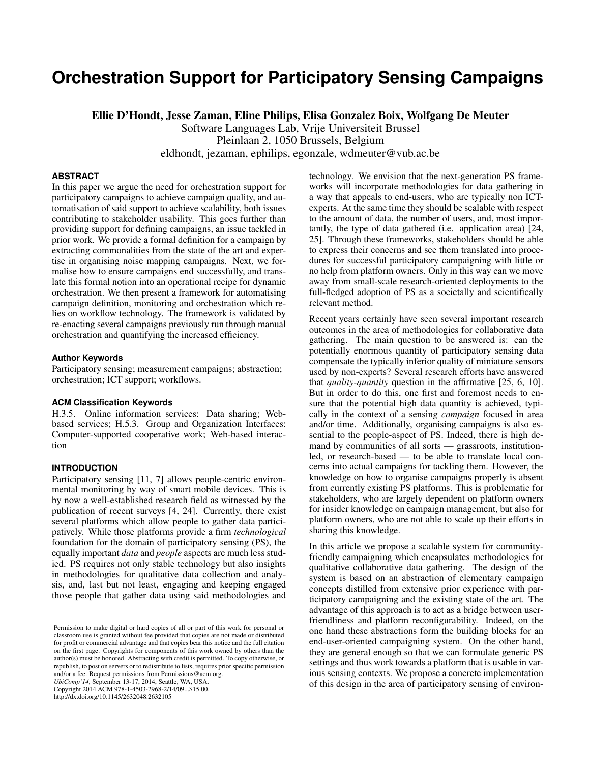# **Orchestration Support for Participatory Sensing Campaigns**

Ellie D'Hondt, Jesse Zaman, Eline Philips, Elisa Gonzalez Boix, Wolfgang De Meuter

Software Languages Lab, Vrije Universiteit Brussel

Pleinlaan 2, 1050 Brussels, Belgium

eldhondt, jezaman, ephilips, egonzale, wdmeuter@vub.ac.be

# **ABSTRACT**

In this paper we argue the need for orchestration support for participatory campaigns to achieve campaign quality, and automatisation of said support to achieve scalability, both issues contributing to stakeholder usability. This goes further than providing support for defining campaigns, an issue tackled in prior work. We provide a formal definition for a campaign by extracting commonalities from the state of the art and expertise in organising noise mapping campaigns. Next, we formalise how to ensure campaigns end successfully, and translate this formal notion into an operational recipe for dynamic orchestration. We then present a framework for automatising campaign definition, monitoring and orchestration which relies on workflow technology. The framework is validated by re-enacting several campaigns previously run through manual orchestration and quantifying the increased efficiency.

#### **Author Keywords**

Participatory sensing; measurement campaigns; abstraction; orchestration; ICT support; workflows.

#### **ACM Classification Keywords**

H.3.5. Online information services: Data sharing; Webbased services; H.5.3. Group and Organization Interfaces: Computer-supported cooperative work; Web-based interaction

### **INTRODUCTION**

Participatory sensing [\[11,](#page-10-0) [7\]](#page-10-1) allows people-centric environmental monitoring by way of smart mobile devices. This is by now a well-established research field as witnessed by the publication of recent surveys [\[4,](#page-10-2) [24\]](#page-11-0). Currently, there exist several platforms which allow people to gather data participatively. While those platforms provide a firm *technological* foundation for the domain of participatory sensing (PS), the equally important *data* and *people* aspects are much less studied. PS requires not only stable technology but also insights in methodologies for qualitative data collection and analysis, and, last but not least, engaging and keeping engaged those people that gather data using said methodologies and

*UbiComp'14*, September 13-17, 2014, Seattle, WA, USA.

Copyright 2014 ACM 978-1-4503-2968-2/14/09...\$15.00.

http://dx.doi.org/10.1145/2632048.2632105

technology. We envision that the next-generation PS frameworks will incorporate methodologies for data gathering in a way that appeals to end-users, who are typically non ICTexperts. At the same time they should be scalable with respect to the amount of data, the number of users, and, most importantly, the type of data gathered (i.e. application area) [\[24,](#page-11-0) [25\]](#page-11-1). Through these frameworks, stakeholders should be able to express their concerns and see them translated into procedures for successful participatory campaigning with little or no help from platform owners. Only in this way can we move away from small-scale research-oriented deployments to the full-fledged adoption of PS as a societally and scientifically relevant method.

Recent years certainly have seen several important research outcomes in the area of methodologies for collaborative data gathering. The main question to be answered is: can the potentially enormous quantity of participatory sensing data compensate the typically inferior quality of miniature sensors used by non-experts? Several research efforts have answered that *quality-quantity* question in the affirmative [\[25,](#page-11-1) [6,](#page-10-3) [10\]](#page-10-4). But in order to do this, one first and foremost needs to ensure that the potential high data quantity is achieved, typically in the context of a sensing *campaign* focused in area and/or time. Additionally, organising campaigns is also essential to the people-aspect of PS. Indeed, there is high demand by communities of all sorts — grassroots, institutionled, or research-based — to be able to translate local concerns into actual campaigns for tackling them. However, the knowledge on how to organise campaigns properly is absent from currently existing PS platforms. This is problematic for stakeholders, who are largely dependent on platform owners for insider knowledge on campaign management, but also for platform owners, who are not able to scale up their efforts in sharing this knowledge.

In this article we propose a scalable system for communityfriendly campaigning which encapsulates methodologies for qualitative collaborative data gathering. The design of the system is based on an abstraction of elementary campaign concepts distilled from extensive prior experience with participatory campaigning and the existing state of the art. The advantage of this approach is to act as a bridge between userfriendliness and platform reconfigurability. Indeed, on the one hand these abstractions form the building blocks for an end-user-oriented campaigning system. On the other hand, they are general enough so that we can formulate generic PS settings and thus work towards a platform that is usable in various sensing contexts. We propose a concrete implementation of this design in the area of participatory sensing of environ-

Permission to make digital or hard copies of all or part of this work for personal or classroom use is granted without fee provided that copies are not made or distributed for profit or commercial advantage and that copies bear this notice and the full citation on the first page. Copyrights for components of this work owned by others than the author(s) must be honored. Abstracting with credit is permitted. To copy otherwise, or republish, to post on servers or to redistribute to lists, requires prior specific permission and/or a fee. Request permissions from Permissions@acm.org.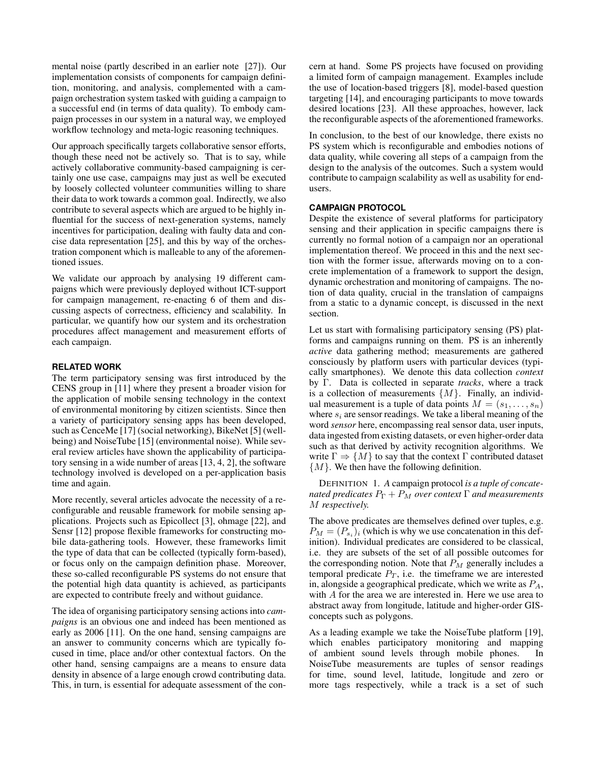mental noise (partly described in an earlier note [\[27\]](#page-11-2)). Our implementation consists of components for campaign definition, monitoring, and analysis, complemented with a campaign orchestration system tasked with guiding a campaign to a successful end (in terms of data quality). To embody campaign processes in our system in a natural way, we employed workflow technology and meta-logic reasoning techniques.

Our approach specifically targets collaborative sensor efforts, though these need not be actively so. That is to say, while actively collaborative community-based campaigning is certainly one use case, campaigns may just as well be executed by loosely collected volunteer communities willing to share their data to work towards a common goal. Indirectly, we also contribute to several aspects which are argued to be highly influential for the success of next-generation systems, namely incentives for participation, dealing with faulty data and concise data representation [\[25\]](#page-11-1), and this by way of the orchestration component which is malleable to any of the aforementioned issues.

We validate our approach by analysing 19 different campaigns which were previously deployed without ICT-support for campaign management, re-enacting 6 of them and discussing aspects of correctness, efficiency and scalability. In particular, we quantify how our system and its orchestration procedures affect management and measurement efforts of each campaign.

# **RELATED WORK**

The term participatory sensing was first introduced by the CENS group in [\[11\]](#page-10-0) where they present a broader vision for the application of mobile sensing technology in the context of environmental monitoring by citizen scientists. Since then a variety of participatory sensing apps has been developed, such as CenceMe [\[17\]](#page-10-5) (social networking), BikeNet [\[5\]](#page-10-6) (wellbeing) and NoiseTube [\[15\]](#page-10-7) (environmental noise). While several review articles have shown the applicability of participatory sensing in a wide number of areas [\[13,](#page-10-8) [4,](#page-10-2) [2\]](#page-10-9), the software technology involved is developed on a per-application basis time and again.

More recently, several articles advocate the necessity of a reconfigurable and reusable framework for mobile sensing applications. Projects such as Epicollect [\[3\]](#page-10-10), ohmage [\[22\]](#page-10-11), and Sensr [\[12\]](#page-10-12) propose flexible frameworks for constructing mobile data-gathering tools. However, these frameworks limit the type of data that can be collected (typically form-based), or focus only on the campaign definition phase. Moreover, these so-called reconfigurable PS systems do not ensure that the potential high data quantity is achieved, as participants are expected to contribute freely and without guidance.

The idea of organising participatory sensing actions into *campaigns* is an obvious one and indeed has been mentioned as early as 2006 [\[11\]](#page-10-0). On the one hand, sensing campaigns are an answer to community concerns which are typically focused in time, place and/or other contextual factors. On the other hand, sensing campaigns are a means to ensure data density in absence of a large enough crowd contributing data. This, in turn, is essential for adequate assessment of the concern at hand. Some PS projects have focused on providing a limited form of campaign management. Examples include the use of location-based triggers [\[8\]](#page-10-13), model-based question targeting [\[14\]](#page-10-14), and encouraging participants to move towards desired locations [\[23\]](#page-11-3). All these approaches, however, lack the reconfigurable aspects of the aforementioned frameworks.

In conclusion, to the best of our knowledge, there exists no PS system which is reconfigurable and embodies notions of data quality, while covering all steps of a campaign from the design to the analysis of the outcomes. Such a system would contribute to campaign scalability as well as usability for endusers.

# **CAMPAIGN PROTOCOL**

Despite the existence of several platforms for participatory sensing and their application in specific campaigns there is currently no formal notion of a campaign nor an operational implementation thereof. We proceed in this and the next section with the former issue, afterwards moving on to a concrete implementation of a framework to support the design, dynamic orchestration and monitoring of campaigns. The notion of data quality, crucial in the translation of campaigns from a static to a dynamic concept, is discussed in the next section.

Let us start with formalising participatory sensing (PS) platforms and campaigns running on them. PS is an inherently *active* data gathering method; measurements are gathered consciously by platform users with particular devices (typically smartphones). We denote this data collection *context* by Γ. Data is collected in separate *tracks*, where a track is a collection of measurements  $\{M\}$ . Finally, an individual measurement is a tuple of data points  $M = (s_1, \ldots, s_n)$ where  $s_i$  are sensor readings. We take a liberal meaning of the word *sensor* here, encompassing real sensor data, user inputs, data ingested from existing datasets, or even higher-order data such as that derived by activity recognition algorithms. We write  $\Gamma \Rightarrow \{M\}$  to say that the context  $\Gamma$  contributed dataset  $\{M\}$ . We then have the following definition.

DEFINITION 1. *A* campaign protocol *is a tuple of concatenated predicates*  $P_{\Gamma} + P_M$  *over context*  $\Gamma$  *and measurements* M *respectively.*

The above predicates are themselves defined over tuples, e.g.  $P_M = (P_{s_i})_i$  (which is why we use concatenation in this definition). Individual predicates are considered to be classical, i.e. they are subsets of the set of all possible outcomes for the corresponding notion. Note that  $P_M$  generally includes a temporal predicate  $P_T$ , i.e. the timeframe we are interested in, alongside a geographical predicate, which we write as  $P_A$ , with A for the area we are interested in. Here we use area to abstract away from longitude, latitude and higher-order GISconcepts such as polygons.

As a leading example we take the NoiseTube platform [\[19\]](#page-10-15), which enables participatory monitoring and mapping of ambient sound levels through mobile phones. In NoiseTube measurements are tuples of sensor readings for time, sound level, latitude, longitude and zero or more tags respectively, while a track is a set of such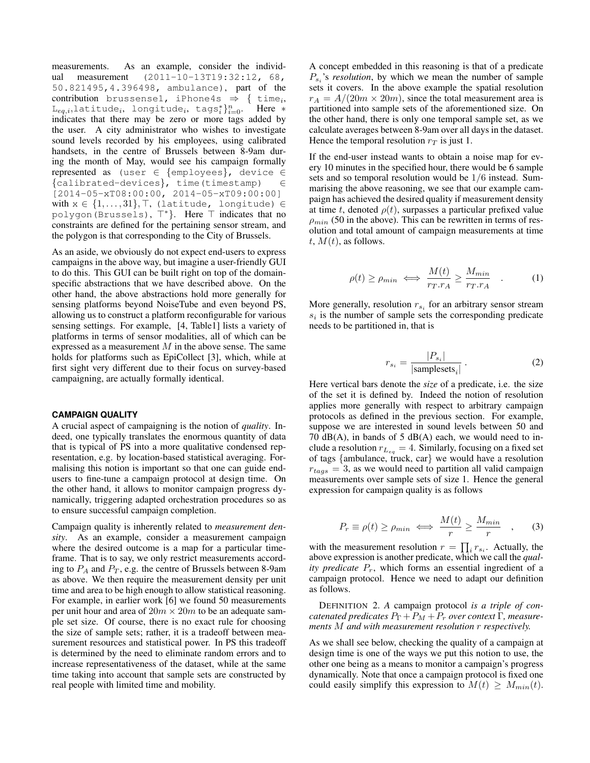measurements. As an example, consider the individual measurement (2011-10-13T19:32:12, 68, 50.821495,4.396498, ambulance), part of the  $\text{contribution}\>$  <code>brussense1, iPhone4s  $\Rightarrow$  { time</code>,  $\mathbb{L}_{eq,i},$ latitude $_i$ , longitude $_i$ , tags $_i^*\}_{i=1}^n$ Here ∗ indicates that there may be zero or more tags added by the user. A city administrator who wishes to investigate sound levels recorded by his employees, using calibrated handsets, in the centre of Brussels between 8-9am during the month of May, would see his campaign formally represented as (user  $\in$  {employees}, device  $\in$ {calibrated-devices}, time(timestamp) ∈ [2014-05-xT08:00:00, 2014-05-xT09:00:00] with  $x \in \{1, \ldots, 31\}, \top$ , (latitude, longitude)  $\in$ polygon(Brussels),  $\top^*$ . Here  $\top$  indicates that no constraints are defined for the pertaining sensor stream, and the polygon is that corresponding to the City of Brussels.

As an aside, we obviously do not expect end-users to express campaigns in the above way, but imagine a user-friendly GUI to do this. This GUI can be built right on top of the domainspecific abstractions that we have described above. On the other hand, the above abstractions hold more generally for sensing platforms beyond NoiseTube and even beyond PS, allowing us to construct a platform reconfigurable for various sensing settings. For example, [\[4,](#page-10-2) Table1] lists a variety of platforms in terms of sensor modalities, all of which can be expressed as a measurement  $M$  in the above sense. The same holds for platforms such as EpiCollect [\[3\]](#page-10-10), which, while at first sight very different due to their focus on survey-based campaigning, are actually formally identical.

#### **CAMPAIGN QUALITY**

A crucial aspect of campaigning is the notion of *quality*. Indeed, one typically translates the enormous quantity of data that is typical of PS into a more qualitative condensed representation, e.g. by location-based statistical averaging. Formalising this notion is important so that one can guide endusers to fine-tune a campaign protocol at design time. On the other hand, it allows to monitor campaign progress dynamically, triggering adapted orchestration procedures so as to ensure successful campaign completion.

Campaign quality is inherently related to *measurement density*. As an example, consider a measurement campaign where the desired outcome is a map for a particular timeframe. That is to say, we only restrict measurements according to  $P_A$  and  $P_T$ , e.g. the centre of Brussels between 8-9am as above. We then require the measurement density per unit time and area to be high enough to allow statistical reasoning. For example, in earlier work [\[6\]](#page-10-3) we found 50 measurements per unit hour and area of  $20m \times 20m$  to be an adequate sample set size. Of course, there is no exact rule for choosing the size of sample sets; rather, it is a tradeoff between measurement resources and statistical power. In PS this tradeoff is determined by the need to eliminate random errors and to increase representativeness of the dataset, while at the same time taking into account that sample sets are constructed by real people with limited time and mobility.

A concept embedded in this reasoning is that of a predicate  $P_{s_i}$ 's *resolution*, by which we mean the number of sample sets it covers. In the above example the spatial resolution  $r_A = A/(20m \times 20m)$ , since the total measurement area is partitioned into sample sets of the aforementioned size. On the other hand, there is only one temporal sample set, as we calculate averages between 8-9am over all days in the dataset. Hence the temporal resolution  $r<sub>T</sub>$  is just 1.

If the end-user instead wants to obtain a noise map for every 10 minutes in the specified hour, there would be 6 sample sets and so temporal resolution would be 1/6 instead. Summarising the above reasoning, we see that our example campaign has achieved the desired quality if measurement density at time t, denoted  $\rho(t)$ , surpasses a particular prefixed value  $\rho_{min}$  (50 in the above). This can be rewritten in terms of resolution and total amount of campaign measurements at time  $t, M(t)$ , as follows.

$$
\rho(t) \ge \rho_{min} \iff \frac{M(t)}{r_T \cdot r_A} \ge \frac{M_{min}}{r_T \cdot r_A} \quad . \tag{1}
$$

More generally, resolution  $r_{s_i}$  for an arbitrary sensor stream  $s_i$  is the number of sample sets the corresponding predicate needs to be partitioned in, that is

$$
r_{s_i} = \frac{|P_{s_i}|}{|\text{samplesets}_i|} \,. \tag{2}
$$

Here vertical bars denote the *size* of a predicate, i.e. the size of the set it is defined by. Indeed the notion of resolution applies more generally with respect to arbitrary campaign protocols as defined in the previous section. For example, suppose we are interested in sound levels between 50 and 70  $dB(A)$ , in bands of 5  $dB(A)$  each, we would need to include a resolution  $r_{L_{eq}} = 4$ . Similarly, focusing on a fixed set of tags {ambulance, truck, car} we would have a resolution  $r_{tags} = 3$ , as we would need to partition all valid campaign measurements over sample sets of size 1. Hence the general expression for campaign quality is as follows

<span id="page-2-0"></span>
$$
P_r \equiv \rho(t) \ge \rho_{min} \iff \frac{M(t)}{r} \ge \frac{M_{min}}{r} \quad , \tag{3}
$$

with the measurement resolution  $r = \prod_i r_{s_i}$ . Actually, the above expression is another predicate, which we call the *quality predicate*  $P_r$ , which forms an essential ingredient of a campaign protocol. Hence we need to adapt our definition as follows.

<span id="page-2-1"></span>DEFINITION 2. *A* campaign protocol *is a triple of concatenated predicates*  $P_{\Gamma} + P_M + P_r$  *over context* Γ, *measurements* M *and with measurement resolution* r *respectively.*

As we shall see below, checking the quality of a campaign at design time is one of the ways we put this notion to use, the other one being as a means to monitor a campaign's progress dynamically. Note that once a campaign protocol is fixed one could easily simplify this expression to  $M(t) \geq M_{min}(t)$ .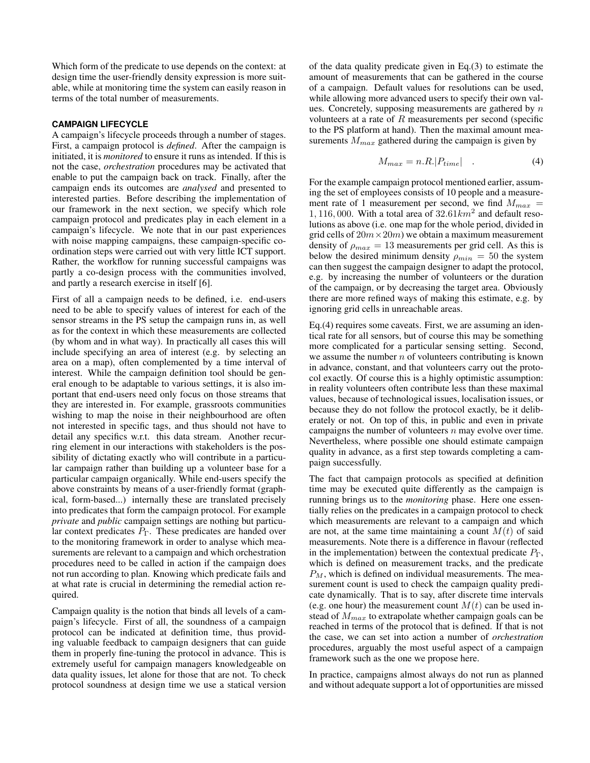Which form of the predicate to use depends on the context: at design time the user-friendly density expression is more suitable, while at monitoring time the system can easily reason in terms of the total number of measurements.

# **CAMPAIGN LIFECYCLE**

A campaign's lifecycle proceeds through a number of stages. First, a campaign protocol is *defined*. After the campaign is initiated, it is *monitored* to ensure it runs as intended. If this is not the case, *orchestration* procedures may be activated that enable to put the campaign back on track. Finally, after the campaign ends its outcomes are *analysed* and presented to interested parties. Before describing the implementation of our framework in the next section, we specify which role campaign protocol and predicates play in each element in a campaign's lifecycle. We note that in our past experiences with noise mapping campaigns, these campaign-specific coordination steps were carried out with very little ICT support. Rather, the workflow for running successful campaigns was partly a co-design process with the communities involved, and partly a research exercise in itself [\[6\]](#page-10-3).

First of all a campaign needs to be defined, i.e. end-users need to be able to specify values of interest for each of the sensor streams in the PS setup the campaign runs in, as well as for the context in which these measurements are collected (by whom and in what way). In practically all cases this will include specifying an area of interest (e.g. by selecting an area on a map), often complemented by a time interval of interest. While the campaign definition tool should be general enough to be adaptable to various settings, it is also important that end-users need only focus on those streams that they are interested in. For example, grassroots communities wishing to map the noise in their neighbourhood are often not interested in specific tags, and thus should not have to detail any specifics w.r.t. this data stream. Another recurring element in our interactions with stakeholders is the possibility of dictating exactly who will contribute in a particular campaign rather than building up a volunteer base for a particular campaign organically. While end-users specify the above constraints by means of a user-friendly format (graphical, form-based...) internally these are translated precisely into predicates that form the campaign protocol. For example *private* and *public* campaign settings are nothing but particular context predicates  $P_{\Gamma}$ . These predicates are handed over to the monitoring framework in order to analyse which measurements are relevant to a campaign and which orchestration procedures need to be called in action if the campaign does not run according to plan. Knowing which predicate fails and at what rate is crucial in determining the remedial action required.

Campaign quality is the notion that binds all levels of a campaign's lifecycle. First of all, the soundness of a campaign protocol can be indicated at definition time, thus providing valuable feedback to campaign designers that can guide them in properly fine-tuning the protocol in advance. This is extremely useful for campaign managers knowledgeable on data quality issues, let alone for those that are not. To check protocol soundness at design time we use a statical version of the data quality predicate given in Eq.[\(3\)](#page-2-0) to estimate the amount of measurements that can be gathered in the course of a campaign. Default values for resolutions can be used, while allowing more advanced users to specify their own values. Concretely, supposing measurements are gathered by  $n$ volunteers at a rate of  $R$  measurements per second (specific to the PS platform at hand). Then the maximal amount measurements  $M_{max}$  gathered during the campaign is given by

<span id="page-3-0"></span>
$$
M_{max} = n.R. |P_{time}| \t . \t (4)
$$

For the example campaign protocol mentioned earlier, assuming the set of employees consists of 10 people and a measurement rate of 1 measurement per second, we find  $M_{max}$  =  $1, 116, 000$ . With a total area of  $32.61 km<sup>2</sup>$  and default resolutions as above (i.e. one map for the whole period, divided in grid cells of  $20m \times 20m$ ) we obtain a maximum measurement density of  $\rho_{max} = 13$  measurements per grid cell. As this is below the desired minimum density  $\rho_{min} = 50$  the system can then suggest the campaign designer to adapt the protocol, e.g. by increasing the number of volunteers or the duration of the campaign, or by decreasing the target area. Obviously there are more refined ways of making this estimate, e.g. by ignoring grid cells in unreachable areas.

Eq.[\(4\)](#page-3-0) requires some caveats. First, we are assuming an identical rate for all sensors, but of course this may be something more complicated for a particular sensing setting. Second, we assume the number  $n$  of volunteers contributing is known in advance, constant, and that volunteers carry out the protocol exactly. Of course this is a highly optimistic assumption: in reality volunteers often contribute less than these maximal values, because of technological issues, localisation issues, or because they do not follow the protocol exactly, be it deliberately or not. On top of this, in public and even in private campaigns the number of volunteers  $n$  may evolve over time. Nevertheless, where possible one should estimate campaign quality in advance, as a first step towards completing a campaign successfully.

The fact that campaign protocols as specified at definition time may be executed quite differently as the campaign is running brings us to the *monitoring* phase. Here one essentially relies on the predicates in a campaign protocol to check which measurements are relevant to a campaign and which are not, at the same time maintaining a count  $M(t)$  of said measurements. Note there is a difference in flavour (reflected in the implementation) between the contextual predicate  $P_{\Gamma}$ , which is defined on measurement tracks, and the predicate  $P_M$ , which is defined on individual measurements. The measurement count is used to check the campaign quality predicate dynamically. That is to say, after discrete time intervals (e.g. one hour) the measurement count  $M(t)$  can be used instead of  $M_{max}$  to extrapolate whether campaign goals can be reached in terms of the protocol that is defined. If that is not the case, we can set into action a number of *orchestration* procedures, arguably the most useful aspect of a campaign framework such as the one we propose here.

In practice, campaigns almost always do not run as planned and without adequate support a lot of opportunities are missed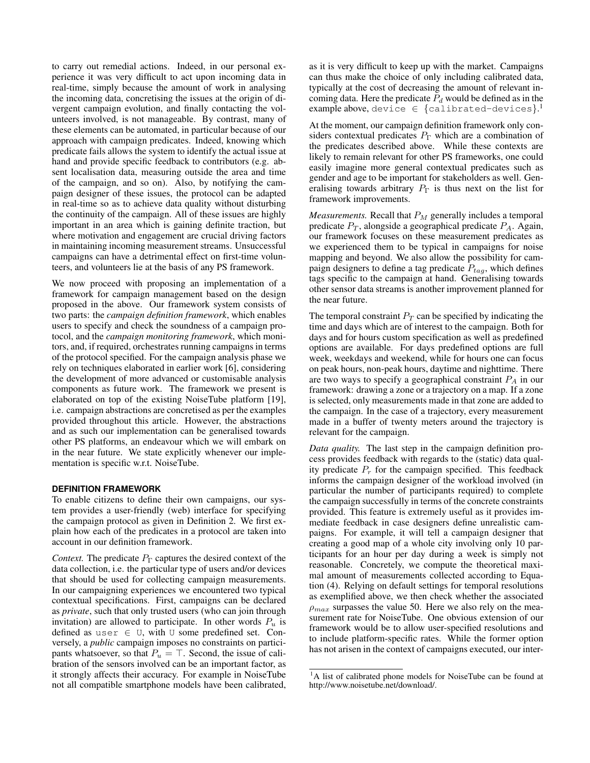to carry out remedial actions. Indeed, in our personal experience it was very difficult to act upon incoming data in real-time, simply because the amount of work in analysing the incoming data, concretising the issues at the origin of divergent campaign evolution, and finally contacting the volunteers involved, is not manageable. By contrast, many of these elements can be automated, in particular because of our approach with campaign predicates. Indeed, knowing which predicate fails allows the system to identify the actual issue at hand and provide specific feedback to contributors (e.g. absent localisation data, measuring outside the area and time of the campaign, and so on). Also, by notifying the campaign designer of these issues, the protocol can be adapted in real-time so as to achieve data quality without disturbing the continuity of the campaign. All of these issues are highly important in an area which is gaining definite traction, but where motivation and engagement are crucial driving factors in maintaining incoming measurement streams. Unsuccessful campaigns can have a detrimental effect on first-time volunteers, and volunteers lie at the basis of any PS framework.

We now proceed with proposing an implementation of a framework for campaign management based on the design proposed in the above. Our framework system consists of two parts: the *campaign definition framework*, which enables users to specify and check the soundness of a campaign protocol, and the *campaign monitoring framework*, which monitors, and, if required, orchestrates running campaigns in terms of the protocol specified. For the campaign analysis phase we rely on techniques elaborated in earlier work [\[6\]](#page-10-3), considering the development of more advanced or customisable analysis components as future work. The framework we present is elaborated on top of the existing NoiseTube platform [\[19\]](#page-10-15), i.e. campaign abstractions are concretised as per the examples provided throughout this article. However, the abstractions and as such our implementation can be generalised towards other PS platforms, an endeavour which we will embark on in the near future. We state explicitly whenever our implementation is specific w.r.t. NoiseTube.

# **DEFINITION FRAMEWORK**

To enable citizens to define their own campaigns, our system provides a user-friendly (web) interface for specifying the campaign protocol as given in Definition [2.](#page-2-1) We first explain how each of the predicates in a protocol are taken into account in our definition framework.

*Context.* The predicate  $P_{\Gamma}$  captures the desired context of the data collection, i.e. the particular type of users and/or devices that should be used for collecting campaign measurements. In our campaigning experiences we encountered two typical contextual specifications. First, campaigns can be declared as *private*, such that only trusted users (who can join through invitation) are allowed to participate. In other words  $P_u$  is defined as user  $\in U$ , with U some predefined set. Conversely, a *public* campaign imposes no constraints on participants whatsoever, so that  $P_u = \top$ . Second, the issue of calibration of the sensors involved can be an important factor, as it strongly affects their accuracy. For example in NoiseTube not all compatible smartphone models have been calibrated, as it is very difficult to keep up with the market. Campaigns can thus make the choice of only including calibrated data, typically at the cost of decreasing the amount of relevant incoming data. Here the predicate  $P_d$  would be defined as in the example above, device  $\in$  {calibrated-devices}.<sup>[1](#page-4-0)</sup>

At the moment, our campaign definition framework only considers contextual predicates  $P_{\Gamma}$  which are a combination of the predicates described above. While these contexts are likely to remain relevant for other PS frameworks, one could easily imagine more general contextual predicates such as gender and age to be important for stakeholders as well. Generalising towards arbitrary  $P_{\Gamma}$  is thus next on the list for framework improvements.

*Measurements.* Recall that  $P_M$  generally includes a temporal predicate  $P_T$ , alongside a geographical predicate  $P_A$ . Again, our framework focuses on these measurement predicates as we experienced them to be typical in campaigns for noise mapping and beyond. We also allow the possibility for campaign designers to define a tag predicate  $P_{tag}$ , which defines tags specific to the campaign at hand. Generalising towards other sensor data streams is another improvement planned for the near future.

The temporal constraint  $P_T$  can be specified by indicating the time and days which are of interest to the campaign. Both for days and for hours custom specification as well as predefined options are available. For days predefined options are full week, weekdays and weekend, while for hours one can focus on peak hours, non-peak hours, daytime and nighttime. There are two ways to specify a geographical constraint  $P_A$  in our framework: drawing a zone or a trajectory on a map. If a zone is selected, only measurements made in that zone are added to the campaign. In the case of a trajectory, every measurement made in a buffer of twenty meters around the trajectory is relevant for the campaign.

*Data quality.* The last step in the campaign definition process provides feedback with regards to the (static) data quality predicate  $P<sub>r</sub>$  for the campaign specified. This feedback informs the campaign designer of the workload involved (in particular the number of participants required) to complete the campaign successfully in terms of the concrete constraints provided. This feature is extremely useful as it provides immediate feedback in case designers define unrealistic campaigns. For example, it will tell a campaign designer that creating a good map of a whole city involving only 10 participants for an hour per day during a week is simply not reasonable. Concretely, we compute the theoretical maximal amount of measurements collected according to Equation [\(4\)](#page-3-0). Relying on default settings for temporal resolutions as exemplified above, we then check whether the associated  $\rho_{max}$  surpasses the value 50. Here we also rely on the measurement rate for NoiseTube. One obvious extension of our framework would be to allow user-specified resolutions and to include platform-specific rates. While the former option has not arisen in the context of campaigns executed, our inter-

<span id="page-4-0"></span><sup>&</sup>lt;sup>1</sup>A list of calibrated phone models for NoiseTube can be found at http://www.noisetube.net/download/.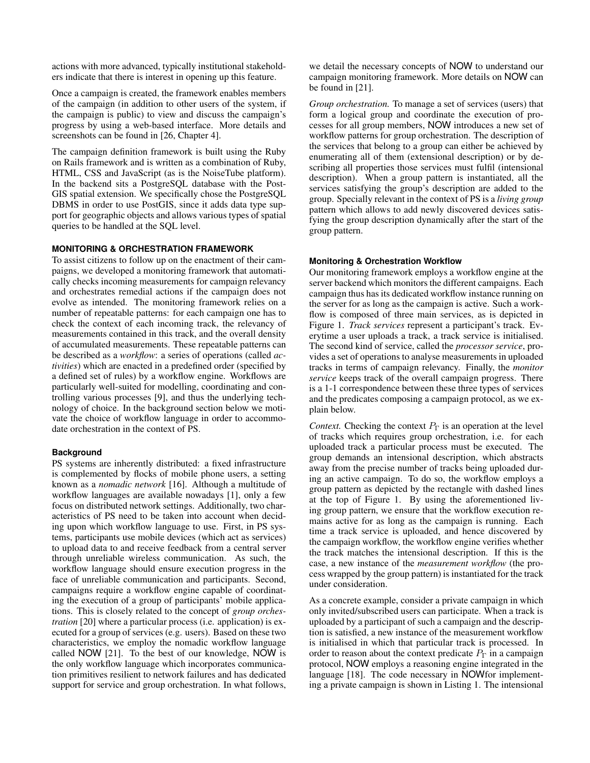actions with more advanced, typically institutional stakeholders indicate that there is interest in opening up this feature.

Once a campaign is created, the framework enables members of the campaign (in addition to other users of the system, if the campaign is public) to view and discuss the campaign's progress by using a web-based interface. More details and screenshots can be found in [\[26,](#page-11-4) Chapter 4].

The campaign definition framework is built using the Ruby on Rails framework and is written as a combination of Ruby, HTML, CSS and JavaScript (as is the NoiseTube platform). In the backend sits a PostgreSQL database with the Post-GIS spatial extension. We specifically chose the PostgreSQL DBMS in order to use PostGIS, since it adds data type support for geographic objects and allows various types of spatial queries to be handled at the SQL level.

## **MONITORING & ORCHESTRATION FRAMEWORK**

To assist citizens to follow up on the enactment of their campaigns, we developed a monitoring framework that automatically checks incoming measurements for campaign relevancy and orchestrates remedial actions if the campaign does not evolve as intended. The monitoring framework relies on a number of repeatable patterns: for each campaign one has to check the context of each incoming track, the relevancy of measurements contained in this track, and the overall density of accumulated measurements. These repeatable patterns can be described as a *workflow*: a series of operations (called *activities*) which are enacted in a predefined order (specified by a defined set of rules) by a workflow engine. Workflows are particularly well-suited for modelling, coordinating and controlling various processes [\[9\]](#page-10-16), and thus the underlying technology of choice. In the background section below we motivate the choice of workflow language in order to accommodate orchestration in the context of PS.

#### **Background**

PS systems are inherently distributed: a fixed infrastructure is complemented by flocks of mobile phone users, a setting known as a *nomadic network* [\[16\]](#page-10-17). Although a multitude of workflow languages are available nowadays [\[1\]](#page-10-18), only a few focus on distributed network settings. Additionally, two characteristics of PS need to be taken into account when deciding upon which workflow language to use. First, in PS systems, participants use mobile devices (which act as services) to upload data to and receive feedback from a central server through unreliable wireless communication. As such, the workflow language should ensure execution progress in the face of unreliable communication and participants. Second, campaigns require a workflow engine capable of coordinating the execution of a group of participants' mobile applications. This is closely related to the concept of *group orchestration* [\[20\]](#page-10-19) where a particular process (i.e. application) is executed for a group of services (e.g. users). Based on these two characteristics, we employ the nomadic workflow language called NOW [\[21\]](#page-10-20). To the best of our knowledge, NOW is the only workflow language which incorporates communication primitives resilient to network failures and has dedicated support for service and group orchestration. In what follows,

we detail the necessary concepts of NOW to understand our campaign monitoring framework. More details on NOW can be found in [\[21\]](#page-10-20).

*Group orchestration.* To manage a set of services (users) that form a logical group and coordinate the execution of processes for all group members, NOW introduces a new set of workflow patterns for group orchestration. The description of the services that belong to a group can either be achieved by enumerating all of them (extensional description) or by describing all properties those services must fulfil (intensional description). When a group pattern is instantiated, all the services satisfying the group's description are added to the group. Specially relevant in the context of PS is a *living group* pattern which allows to add newly discovered devices satisfying the group description dynamically after the start of the group pattern.

#### **Monitoring & Orchestration Workflow**

Our monitoring framework employs a workflow engine at the server backend which monitors the different campaigns. Each campaign thus has its dedicated workflow instance running on the server for as long as the campaign is active. Such a workflow is composed of three main services, as is depicted in Figure [1.](#page-6-0) *Track services* represent a participant's track. Everytime a user uploads a track, a track service is initialised. The second kind of service, called the *processor service*, provides a set of operations to analyse measurements in uploaded tracks in terms of campaign relevancy. Finally, the *monitor service* keeps track of the overall campaign progress. There is a 1-1 correspondence between these three types of services and the predicates composing a campaign protocol, as we explain below.

*Context.* Checking the context  $P_{\Gamma}$  is an operation at the level of tracks which requires group orchestration, i.e. for each uploaded track a particular process must be executed. The group demands an intensional description, which abstracts away from the precise number of tracks being uploaded during an active campaign. To do so, the workflow employs a group pattern as depicted by the rectangle with dashed lines at the top of Figure [1.](#page-6-0) By using the aforementioned living group pattern, we ensure that the workflow execution remains active for as long as the campaign is running. Each time a track service is uploaded, and hence discovered by the campaign workflow, the workflow engine verifies whether the track matches the intensional description. If this is the case, a new instance of the *measurement workflow* (the process wrapped by the group pattern) is instantiated for the track under consideration.

As a concrete example, consider a private campaign in which only invited/subscribed users can participate. When a track is uploaded by a participant of such a campaign and the description is satisfied, a new instance of the measurement workflow is initialised in which that particular track is processed. In order to reason about the context predicate  $P_{\Gamma}$  in a campaign protocol, NOW employs a reasoning engine integrated in the language [\[18\]](#page-10-21). The code necessary in NOWfor implementing a private campaign is shown in Listing [1.](#page-6-1) The intensional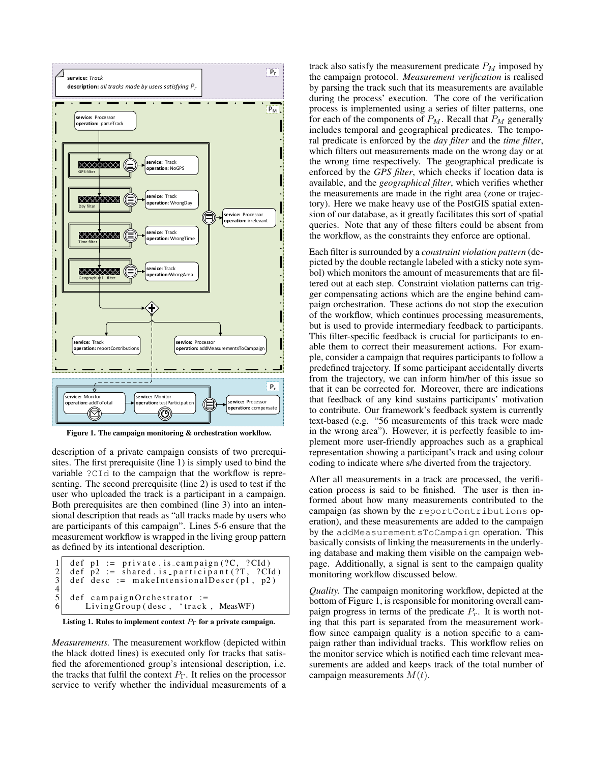

<span id="page-6-0"></span>Figure 1. The campaign monitoring & orchestration workflow.

description of a private campaign consists of two prerequisites. The first prerequisite (line 1) is simply used to bind the variable ?CId to the campaign that the workflow is representing. The second prerequisite (line 2) is used to test if the user who uploaded the track is a participant in a campaign. Both prerequisites are then combined (line 3) into an intensional description that reads as "all tracks made by users who are participants of this campaign". Lines 5-6 ensure that the measurement workflow is wrapped in the living group pattern as defined by its intentional description.

```
1 def p1 := private.is_campaign(?C, ?CId)<br>2 def p2 := shared.is_participant(?T, ?CI
2 def \hat{p}2 := \hat{s}hared.is_participant(?T, ?CId)<br>3 def desc := makeIntensionalDescr(p1, p2)
     def desc := makeIntensionalDescr(p1, p2)
\frac{4}{5}5 \mid def campaignOrchestrator :=<br>6 LivingGroup(desc. 'track
          Living Group (desc, 'track, MeasWF)
```
Listing 1. Rules to implement context  $P_{\Gamma}$  for a private campaign.

*Measurements.* The measurement workflow (depicted within the black dotted lines) is executed only for tracks that satisfied the aforementioned group's intensional description, i.e. the tracks that fulfil the context  $P_{\Gamma}$ . It relies on the processor service to verify whether the individual measurements of a track also satisfy the measurement predicate  $P<sub>M</sub>$  imposed by the campaign protocol. *Measurement verification* is realised by parsing the track such that its measurements are available during the process' execution. The core of the verification process is implemented using a series of filter patterns, one for each of the components of  $P_M$ . Recall that  $P_M$  generally includes temporal and geographical predicates. The temporal predicate is enforced by the *day filter* and the *time filter*, which filters out measurements made on the wrong day or at the wrong time respectively. The geographical predicate is enforced by the *GPS filter*, which checks if location data is available, and the *geographical filter*, which verifies whether the measurements are made in the right area (zone or trajectory). Here we make heavy use of the PostGIS spatial extension of our database, as it greatly facilitates this sort of spatial queries. Note that any of these filters could be absent from the workflow, as the constraints they enforce are optional.

Each filter is surrounded by a *constraint violation pattern* (depicted by the double rectangle labeled with a sticky note symbol) which monitors the amount of measurements that are filtered out at each step. Constraint violation patterns can trigger compensating actions which are the engine behind campaign orchestration. These actions do not stop the execution of the workflow, which continues processing measurements, but is used to provide intermediary feedback to participants. This filter-specific feedback is crucial for participants to enable them to correct their measurement actions. For example, consider a campaign that requires participants to follow a predefined trajectory. If some participant accidentally diverts from the trajectory, we can inform him/her of this issue so that it can be corrected for. Moreover, there are indications that feedback of any kind sustains participants' motivation to contribute. Our framework's feedback system is currently text-based (e.g. "56 measurements of this track were made in the wrong area"). However, it is perfectly feasible to implement more user-friendly approaches such as a graphical representation showing a participant's track and using colour coding to indicate where s/he diverted from the trajectory.

After all measurements in a track are processed, the verification process is said to be finished. The user is then informed about how many measurements contributed to the campaign (as shown by the reportContributions operation), and these measurements are added to the campaign by the addMeasurementsToCampaign operation. This basically consists of linking the measurements in the underlying database and making them visible on the campaign webpage. Additionally, a signal is sent to the campaign quality monitoring workflow discussed below.

*Quality.* The campaign monitoring workflow, depicted at the bottom of Figure [1,](#page-6-0) is responsible for monitoring overall campaign progress in terms of the predicate  $P<sub>r</sub>$ . It is worth noting that this part is separated from the measurement workflow since campaign quality is a notion specific to a campaign rather than individual tracks. This workflow relies on the monitor service which is notified each time relevant measurements are added and keeps track of the total number of campaign measurements  $M(t)$ .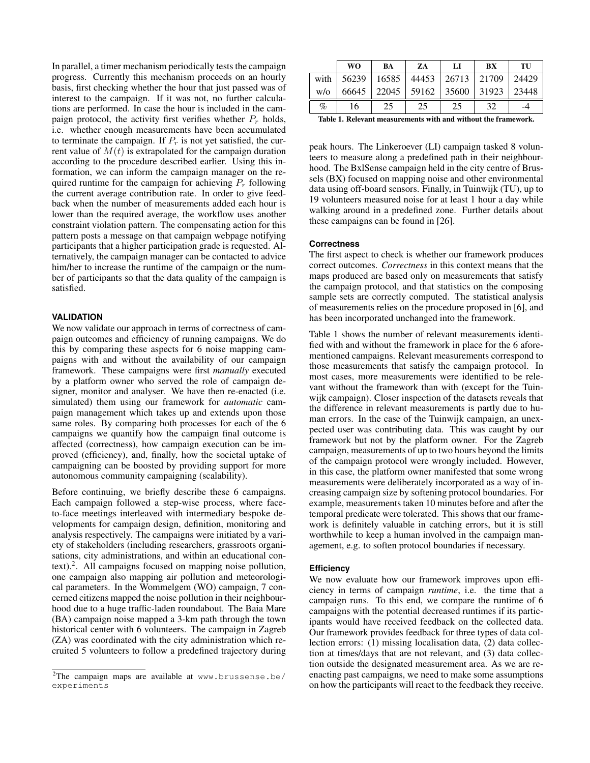In parallel, a timer mechanism periodically tests the campaign progress. Currently this mechanism proceeds on an hourly basis, first checking whether the hour that just passed was of interest to the campaign. If it was not, no further calculations are performed. In case the hour is included in the campaign protocol, the activity first verifies whether  $P_r$  holds, i.e. whether enough measurements have been accumulated to terminate the campaign. If  $P_r$  is not yet satisfied, the current value of  $M(t)$  is extrapolated for the campaign duration according to the procedure described earlier. Using this information, we can inform the campaign manager on the required runtime for the campaign for achieving  $P_r$  following the current average contribution rate. In order to give feedback when the number of measurements added each hour is lower than the required average, the workflow uses another constraint violation pattern. The compensating action for this pattern posts a message on that campaign webpage notifying participants that a higher participation grade is requested. Alternatively, the campaign manager can be contacted to advice him/her to increase the runtime of the campaign or the number of participants so that the data quality of the campaign is satisfied.

## **VALIDATION**

We now validate our approach in terms of correctness of campaign outcomes and efficiency of running campaigns. We do this by comparing these aspects for 6 noise mapping campaigns with and without the availability of our campaign framework. These campaigns were first *manually* executed by a platform owner who served the role of campaign designer, monitor and analyser. We have then re-enacted (i.e. simulated) them using our framework for *automatic* campaign management which takes up and extends upon those same roles. By comparing both processes for each of the 6 campaigns we quantify how the campaign final outcome is affected (correctness), how campaign execution can be improved (efficiency), and, finally, how the societal uptake of campaigning can be boosted by providing support for more autonomous community campaigning (scalability).

Before continuing, we briefly describe these 6 campaigns. Each campaign followed a step-wise process, where faceto-face meetings interleaved with intermediary bespoke developments for campaign design, definition, monitoring and analysis respectively. The campaigns were initiated by a variety of stakeholders (including researchers, grassroots organisations, city administrations, and within an educational con-text).<sup>[2](#page-7-0)</sup>. All campaigns focused on mapping noise pollution, one campaign also mapping air pollution and meteorological parameters. In the Wommelgem (WO) campaign, 7 concerned citizens mapped the noise pollution in their neighbourhood due to a huge traffic-laden roundabout. The Baia Mare (BA) campaign noise mapped a 3-km path through the town historical center with 6 volunteers. The campaign in Zagreb (ZA) was coordinated with the city administration which recruited 5 volunteers to follow a predefined trajectory during

|      | <b>WO</b> | BA    | ZA                            | LI                    | <b>BX</b> | TU    |
|------|-----------|-------|-------------------------------|-----------------------|-----------|-------|
| with | 56239     | 16585 |                               | 44453   26713   21709 |           | 24429 |
| W/O  | 66645     |       | 22045   59162   35600   31923 |                       |           | 23448 |
| $\%$ | 16        | 25    | 25                            | 25                    | 32        |       |

<span id="page-7-1"></span>Table 1. Relevant measurements with and without the framework.

peak hours. The Linkeroever (LI) campaign tasked 8 volunteers to measure along a predefined path in their neighbourhood. The BxlSense campaign held in the city centre of Brussels (BX) focused on mapping noise and other environmental data using off-board sensors. Finally, in Tuinwijk (TU), up to 19 volunteers measured noise for at least 1 hour a day while walking around in a predefined zone. Further details about these campaigns can be found in [\[26\]](#page-11-4).

## **Correctness**

The first aspect to check is whether our framework produces correct outcomes. *Correctness* in this context means that the maps produced are based only on measurements that satisfy the campaign protocol, and that statistics on the composing sample sets are correctly computed. The statistical analysis of measurements relies on the procedure proposed in [\[6\]](#page-10-3), and has been incorporated unchanged into the framework.

Table [1](#page-7-1) shows the number of relevant measurements identified with and without the framework in place for the 6 aforementioned campaigns. Relevant measurements correspond to those measurements that satisfy the campaign protocol. In most cases, more measurements were identified to be relevant without the framework than with (except for the Tuinwijk campaign). Closer inspection of the datasets reveals that the difference in relevant measurements is partly due to human errors. In the case of the Tuinwijk campaign, an unexpected user was contributing data. This was caught by our framework but not by the platform owner. For the Zagreb campaign, measurements of up to two hours beyond the limits of the campaign protocol were wrongly included. However, in this case, the platform owner manifested that some wrong measurements were deliberately incorporated as a way of increasing campaign size by softening protocol boundaries. For example, measurements taken 10 minutes before and after the temporal predicate were tolerated. This shows that our framework is definitely valuable in catching errors, but it is still worthwhile to keep a human involved in the campaign management, e.g. to soften protocol boundaries if necessary.

#### **Efficiency**

We now evaluate how our framework improves upon efficiency in terms of campaign *runtime*, i.e. the time that a campaign runs. To this end, we compare the runtime of 6 campaigns with the potential decreased runtimes if its participants would have received feedback on the collected data. Our framework provides feedback for three types of data collection errors: (1) missing localisation data, (2) data collection at times/days that are not relevant, and (3) data collection outside the designated measurement area. As we are reenacting past campaigns, we need to make some assumptions on how the participants will react to the feedback they receive.

<span id="page-7-0"></span> $2$ The campaign maps are available at [www.brussense.be/](www.brussense.be/experiments) [experiments](www.brussense.be/experiments)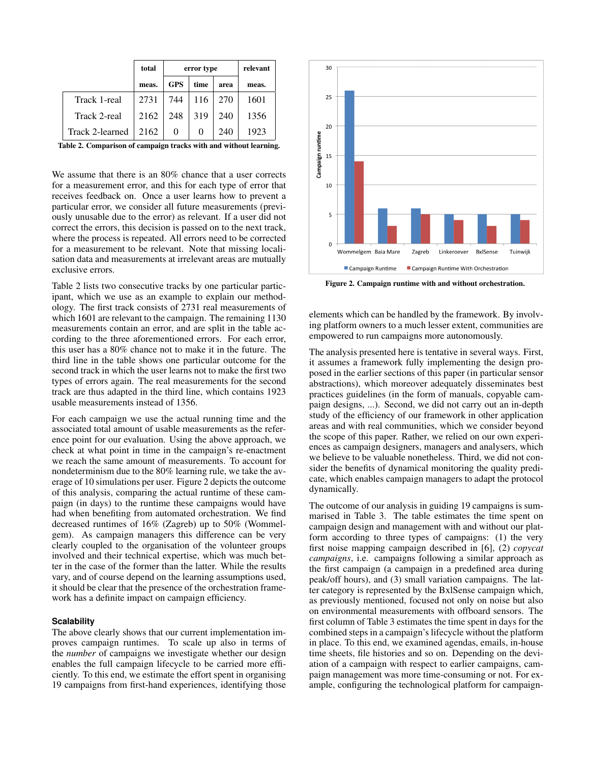|                 | total<br>error type |            | relevant |      |       |
|-----------------|---------------------|------------|----------|------|-------|
|                 | meas.               | <b>GPS</b> | time     | area | meas. |
| Track 1-real    | 2731                | 744        | 116      | 270  | 1601  |
| Track 2-real    | 2162                | 248        | 319      | 240  | 1356  |
| Track 2-learned | 2162                | $\theta$   |          | 240  | 1923  |

<span id="page-8-0"></span>Table 2. Comparison of campaign tracks with and without learning.

We assume that there is an 80% chance that a user corrects for a measurement error, and this for each type of error that receives feedback on. Once a user learns how to prevent a particular error, we consider all future measurements (previously unusable due to the error) as relevant. If a user did not correct the errors, this decision is passed on to the next track, where the process is repeated. All errors need to be corrected for a measurement to be relevant. Note that missing localisation data and measurements at irrelevant areas are mutually exclusive errors.

Table [2](#page-8-0) lists two consecutive tracks by one particular participant, which we use as an example to explain our methodology. The first track consists of 2731 real measurements of which 1601 are relevant to the campaign. The remaining 1130 measurements contain an error, and are split in the table according to the three aforementioned errors. For each error, this user has a 80% chance not to make it in the future. The third line in the table shows one particular outcome for the second track in which the user learns not to make the first two types of errors again. The real measurements for the second track are thus adapted in the third line, which contains 1923 usable measurements instead of 1356.

For each campaign we use the actual running time and the associated total amount of usable measurements as the reference point for our evaluation. Using the above approach, we check at what point in time in the campaign's re-enactment we reach the same amount of measurements. To account for nondeterminism due to the 80% learning rule, we take the average of 10 simulations per user. Figure [2](#page-8-1) depicts the outcome of this analysis, comparing the actual runtime of these campaign (in days) to the runtime these campaigns would have had when benefiting from automated orchestration. We find decreased runtimes of 16% (Zagreb) up to 50% (Wommelgem). As campaign managers this difference can be very clearly coupled to the organisation of the volunteer groups involved and their technical expertise, which was much better in the case of the former than the latter. While the results vary, and of course depend on the learning assumptions used, it should be clear that the presence of the orchestration framework has a definite impact on campaign efficiency.

#### **Scalability**

The above clearly shows that our current implementation improves campaign runtimes. To scale up also in terms of the *number* of campaigns we investigate whether our design enables the full campaign lifecycle to be carried more efficiently. To this end, we estimate the effort spent in organising 19 campaigns from first-hand experiences, identifying those



<span id="page-8-1"></span>Figure 2. Campaign runtime with and without orchestration.

elements which can be handled by the framework. By involving platform owners to a much lesser extent, communities are empowered to run campaigns more autonomously.

The analysis presented here is tentative in several ways. First, it assumes a framework fully implementing the design proposed in the earlier sections of this paper (in particular sensor abstractions), which moreover adequately disseminates best practices guidelines (in the form of manuals, copyable campaign designs, ...). Second, we did not carry out an in-depth study of the efficiency of our framework in other application areas and with real communities, which we consider beyond the scope of this paper. Rather, we relied on our own experiences as campaign designers, managers and analysers, which we believe to be valuable nonetheless. Third, we did not consider the benefits of dynamical monitoring the quality predicate, which enables campaign managers to adapt the protocol dynamically.

The outcome of our analysis in guiding 19 campaigns is summarised in Table [3.](#page-9-0) The table estimates the time spent on campaign design and management with and without our platform according to three types of campaigns: (1) the very first noise mapping campaign described in [\[6\]](#page-10-3), (2) *copycat campaigns*, i.e. campaigns following a similar approach as the first campaign (a campaign in a predefined area during peak/off hours), and (3) small variation campaigns. The latter category is represented by the BxlSense campaign which, as previously mentioned, focused not only on noise but also on environmental measurements with offboard sensors. The first column of Table [3](#page-9-0) estimates the time spent in days for the combined steps in a campaign's lifecycle without the platform in place. To this end, we examined agendas, emails, in-house time sheets, file histories and so on. Depending on the deviation of a campaign with respect to earlier campaigns, campaign management was more time-consuming or not. For example, configuring the technological platform for campaign-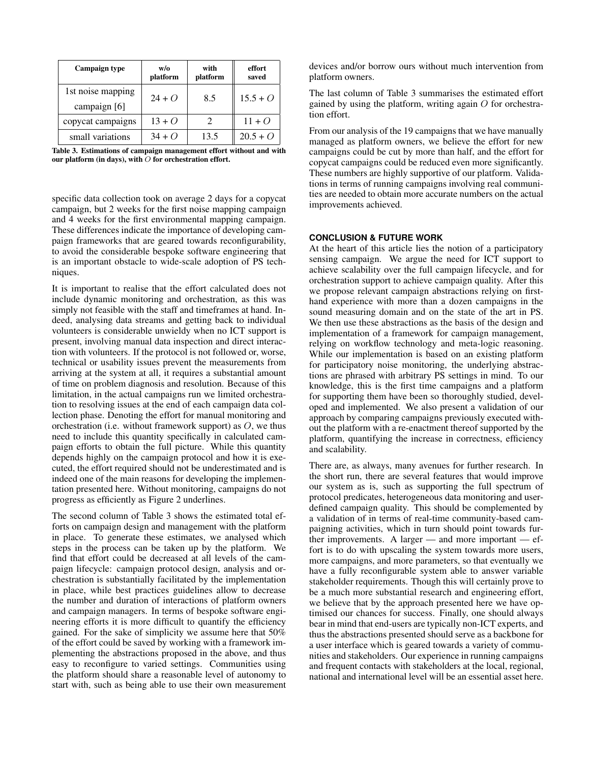| <b>Campaign type</b>              | w/o<br>platform | with<br>platform | effort<br>saved |  |
|-----------------------------------|-----------------|------------------|-----------------|--|
| 1st noise mapping<br>campaign [6] | $24 + O$        | 8.5              | $15.5 + O$      |  |
| copycat campaigns                 | $13 + O$        |                  | $11 + O$        |  |
| small variations                  | $34 + O$        | 13.5             | $20.5 + O$      |  |

<span id="page-9-0"></span>Table 3. Estimations of campaign management effort without and with our platform (in days), with  $O$  for orchestration effort.

specific data collection took on average 2 days for a copycat campaign, but 2 weeks for the first noise mapping campaign and 4 weeks for the first environmental mapping campaign. These differences indicate the importance of developing campaign frameworks that are geared towards reconfigurability, to avoid the considerable bespoke software engineering that is an important obstacle to wide-scale adoption of PS techniques.

It is important to realise that the effort calculated does not include dynamic monitoring and orchestration, as this was simply not feasible with the staff and timeframes at hand. Indeed, analysing data streams and getting back to individual volunteers is considerable unwieldy when no ICT support is present, involving manual data inspection and direct interaction with volunteers. If the protocol is not followed or, worse, technical or usability issues prevent the measurements from arriving at the system at all, it requires a substantial amount of time on problem diagnosis and resolution. Because of this limitation, in the actual campaigns run we limited orchestration to resolving issues at the end of each campaign data collection phase. Denoting the effort for manual monitoring and orchestration (i.e. without framework support) as  $O$ , we thus need to include this quantity specifically in calculated campaign efforts to obtain the full picture. While this quantity depends highly on the campaign protocol and how it is executed, the effort required should not be underestimated and is indeed one of the main reasons for developing the implementation presented here. Without monitoring, campaigns do not progress as efficiently as Figure [2](#page-8-1) underlines.

The second column of Table [3](#page-9-0) shows the estimated total efforts on campaign design and management with the platform in place. To generate these estimates, we analysed which steps in the process can be taken up by the platform. We find that effort could be decreased at all levels of the campaign lifecycle: campaign protocol design, analysis and orchestration is substantially facilitated by the implementation in place, while best practices guidelines allow to decrease the number and duration of interactions of platform owners and campaign managers. In terms of bespoke software engineering efforts it is more difficult to quantify the efficiency gained. For the sake of simplicity we assume here that 50% of the effort could be saved by working with a framework implementing the abstractions proposed in the above, and thus easy to reconfigure to varied settings. Communities using the platform should share a reasonable level of autonomy to start with, such as being able to use their own measurement devices and/or borrow ours without much intervention from platform owners.

The last column of Table [3](#page-9-0) summarises the estimated effort gained by using the platform, writing again  $O$  for orchestration effort.

From our analysis of the 19 campaigns that we have manually managed as platform owners, we believe the effort for new campaigns could be cut by more than half, and the effort for copycat campaigns could be reduced even more significantly. These numbers are highly supportive of our platform. Validations in terms of running campaigns involving real communities are needed to obtain more accurate numbers on the actual improvements achieved.

# **CONCLUSION & FUTURE WORK**

At the heart of this article lies the notion of a participatory sensing campaign. We argue the need for ICT support to achieve scalability over the full campaign lifecycle, and for orchestration support to achieve campaign quality. After this we propose relevant campaign abstractions relying on firsthand experience with more than a dozen campaigns in the sound measuring domain and on the state of the art in PS. We then use these abstractions as the basis of the design and implementation of a framework for campaign management, relying on workflow technology and meta-logic reasoning. While our implementation is based on an existing platform for participatory noise monitoring, the underlying abstractions are phrased with arbitrary PS settings in mind. To our knowledge, this is the first time campaigns and a platform for supporting them have been so thoroughly studied, developed and implemented. We also present a validation of our approach by comparing campaigns previously executed without the platform with a re-enactment thereof supported by the platform, quantifying the increase in correctness, efficiency and scalability.

There are, as always, many avenues for further research. In the short run, there are several features that would improve our system as is, such as supporting the full spectrum of protocol predicates, heterogeneous data monitoring and userdefined campaign quality. This should be complemented by a validation of in terms of real-time community-based campaigning activities, which in turn should point towards further improvements. A larger — and more important — effort is to do with upscaling the system towards more users, more campaigns, and more parameters, so that eventually we have a fully reconfigurable system able to answer variable stakeholder requirements. Though this will certainly prove to be a much more substantial research and engineering effort, we believe that by the approach presented here we have optimised our chances for success. Finally, one should always bear in mind that end-users are typically non-ICT experts, and thus the abstractions presented should serve as a backbone for a user interface which is geared towards a variety of communities and stakeholders. Our experience in running campaigns and frequent contacts with stakeholders at the local, regional, national and international level will be an essential asset here.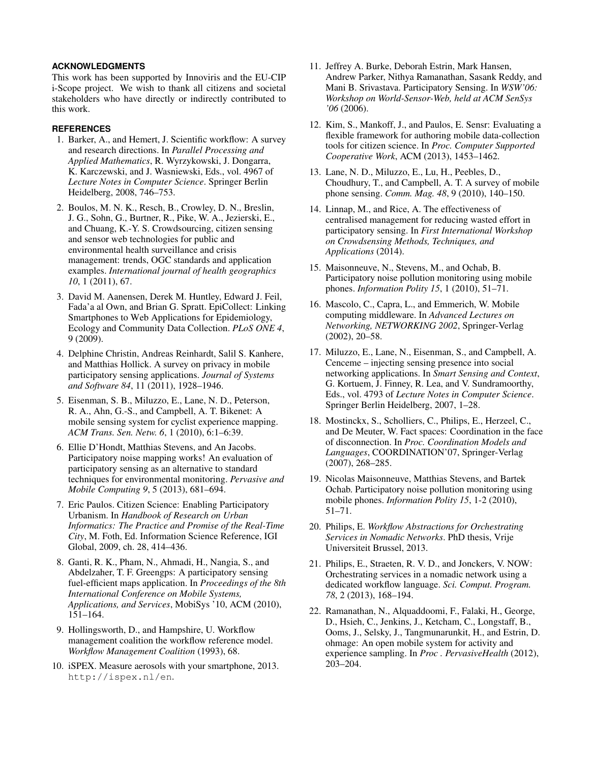# **ACKNOWLEDGMENTS**

This work has been supported by Innoviris and the EU-CIP i-Scope project. We wish to thank all citizens and societal stakeholders who have directly or indirectly contributed to this work.

#### <span id="page-10-18"></span>**REFERENCES**

- 1. Barker, A., and Hemert, J. Scientific workflow: A survey and research directions. In *Parallel Processing and Applied Mathematics*, R. Wyrzykowski, J. Dongarra, K. Karczewski, and J. Wasniewski, Eds., vol. 4967 of *Lecture Notes in Computer Science*. Springer Berlin Heidelberg, 2008, 746–753.
- <span id="page-10-9"></span>2. Boulos, M. N. K., Resch, B., Crowley, D. N., Breslin, J. G., Sohn, G., Burtner, R., Pike, W. A., Jezierski, E., and Chuang, K.-Y. S. Crowdsourcing, citizen sensing and sensor web technologies for public and environmental health surveillance and crisis management: trends, OGC standards and application examples. *International journal of health geographics 10*, 1 (2011), 67.
- <span id="page-10-10"></span>3. David M. Aanensen, Derek M. Huntley, Edward J. Feil, Fada'a al Own, and Brian G. Spratt. EpiCollect: Linking Smartphones to Web Applications for Epidemiology, Ecology and Community Data Collection. *PLoS ONE 4*, 9 (2009).
- <span id="page-10-2"></span>4. Delphine Christin, Andreas Reinhardt, Salil S. Kanhere, and Matthias Hollick. A survey on privacy in mobile participatory sensing applications. *Journal of Systems and Software 84*, 11 (2011), 1928–1946.
- <span id="page-10-6"></span>5. Eisenman, S. B., Miluzzo, E., Lane, N. D., Peterson, R. A., Ahn, G.-S., and Campbell, A. T. Bikenet: A mobile sensing system for cyclist experience mapping. *ACM Trans. Sen. Netw. 6*, 1 (2010), 6:1–6:39.
- <span id="page-10-3"></span>6. Ellie D'Hondt, Matthias Stevens, and An Jacobs. Participatory noise mapping works! An evaluation of participatory sensing as an alternative to standard techniques for environmental monitoring. *Pervasive and Mobile Computing 9*, 5 (2013), 681–694.
- <span id="page-10-1"></span>7. Eric Paulos. Citizen Science: Enabling Participatory Urbanism. In *Handbook of Research on Urban Informatics: The Practice and Promise of the Real-Time City*, M. Foth, Ed. Information Science Reference, IGI Global, 2009, ch. 28, 414–436.
- <span id="page-10-13"></span>8. Ganti, R. K., Pham, N., Ahmadi, H., Nangia, S., and Abdelzaher, T. F. Greengps: A participatory sensing fuel-efficient maps application. In *Proceedings of the 8th International Conference on Mobile Systems, Applications, and Services*, MobiSys '10, ACM (2010), 151–164.
- <span id="page-10-16"></span>9. Hollingsworth, D., and Hampshire, U. Workflow management coalition the workflow reference model. *Workflow Management Coalition* (1993), 68.
- <span id="page-10-4"></span>10. iSPEX. Measure aerosols with your smartphone, 2013. <http://ispex.nl/en>.
- <span id="page-10-0"></span>11. Jeffrey A. Burke, Deborah Estrin, Mark Hansen, Andrew Parker, Nithya Ramanathan, Sasank Reddy, and Mani B. Srivastava. Participatory Sensing. In *WSW'06: Workshop on World-Sensor-Web, held at ACM SenSys '06* (2006).
- <span id="page-10-12"></span>12. Kim, S., Mankoff, J., and Paulos, E. Sensr: Evaluating a flexible framework for authoring mobile data-collection tools for citizen science. In *Proc. Computer Supported Cooperative Work*, ACM (2013), 1453–1462.
- <span id="page-10-8"></span>13. Lane, N. D., Miluzzo, E., Lu, H., Peebles, D., Choudhury, T., and Campbell, A. T. A survey of mobile phone sensing. *Comm. Mag. 48*, 9 (2010), 140–150.
- <span id="page-10-14"></span>14. Linnap, M., and Rice, A. The effectiveness of centralised management for reducing wasted effort in participatory sensing. In *First International Workshop on Crowdsensing Methods, Techniques, and Applications* (2014).
- <span id="page-10-7"></span>15. Maisonneuve, N., Stevens, M., and Ochab, B. Participatory noise pollution monitoring using mobile phones. *Information Polity 15*, 1 (2010), 51–71.
- <span id="page-10-17"></span>16. Mascolo, C., Capra, L., and Emmerich, W. Mobile computing middleware. In *Advanced Lectures on Networking, NETWORKING 2002*, Springer-Verlag (2002), 20–58.
- <span id="page-10-5"></span>17. Miluzzo, E., Lane, N., Eisenman, S., and Campbell, A. Cenceme – injecting sensing presence into social networking applications. In *Smart Sensing and Context*, G. Kortuem, J. Finney, R. Lea, and V. Sundramoorthy, Eds., vol. 4793 of *Lecture Notes in Computer Science*. Springer Berlin Heidelberg, 2007, 1–28.
- <span id="page-10-21"></span>18. Mostinckx, S., Scholliers, C., Philips, E., Herzeel, C., and De Meuter, W. Fact spaces: Coordination in the face of disconnection. In *Proc. Coordination Models and Languages*, COORDINATION'07, Springer-Verlag (2007), 268–285.
- <span id="page-10-15"></span>19. Nicolas Maisonneuve, Matthias Stevens, and Bartek Ochab. Participatory noise pollution monitoring using mobile phones. *Information Polity 15*, 1-2 (2010), 51–71.
- <span id="page-10-19"></span>20. Philips, E. *Workflow Abstractions for Orchestrating Services in Nomadic Networks*. PhD thesis, Vrije Universiteit Brussel, 2013.
- <span id="page-10-20"></span>21. Philips, E., Straeten, R. V. D., and Jonckers, V. NOW: Orchestrating services in a nomadic network using a dedicated workflow language. *Sci. Comput. Program. 78*, 2 (2013), 168–194.
- <span id="page-10-11"></span>22. Ramanathan, N., Alquaddoomi, F., Falaki, H., George, D., Hsieh, C., Jenkins, J., Ketcham, C., Longstaff, B., Ooms, J., Selsky, J., Tangmunarunkit, H., and Estrin, D. ohmage: An open mobile system for activity and experience sampling. In *Proc . PervasiveHealth* (2012), 203–204.